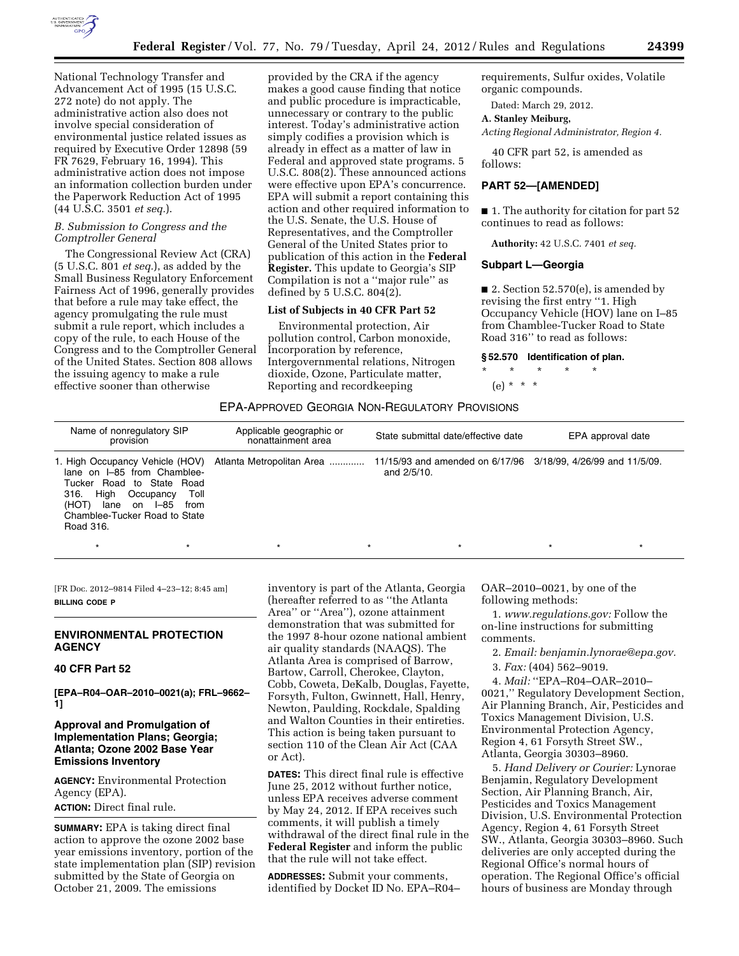

National Technology Transfer and Advancement Act of 1995 (15 U.S.C. 272 note) do not apply. The administrative action also does not involve special consideration of environmental justice related issues as required by Executive Order 12898 (59 FR 7629, February 16, 1994). This administrative action does not impose an information collection burden under the Paperwork Reduction Act of 1995 (44 U.S.C. 3501 *et seq.*).

## *B. Submission to Congress and the Comptroller General*

The Congressional Review Act (CRA) (5 U.S.C. 801 *et seq.*), as added by the Small Business Regulatory Enforcement Fairness Act of 1996, generally provides that before a rule may take effect, the agency promulgating the rule must submit a rule report, which includes a copy of the rule, to each House of the Congress and to the Comptroller General of the United States. Section 808 allows the issuing agency to make a rule effective sooner than otherwise

provided by the CRA if the agency makes a good cause finding that notice and public procedure is impracticable, unnecessary or contrary to the public interest. Today's administrative action simply codifies a provision which is already in effect as a matter of law in Federal and approved state programs. 5 U.S.C. 808(2). These announced actions were effective upon EPA's concurrence. EPA will submit a report containing this action and other required information to the U.S. Senate, the U.S. House of Representatives, and the Comptroller General of the United States prior to publication of this action in the **Federal Register.** This update to Georgia's SIP Compilation is not a ''major rule'' as defined by 5 U.S.C. 804(2).

## **List of Subjects in 40 CFR Part 52**

Environmental protection, Air pollution control, Carbon monoxide, Incorporation by reference, Intergovernmental relations, Nitrogen dioxide, Ozone, Particulate matter, Reporting and recordkeeping

requirements, Sulfur oxides, Volatile organic compounds.

Dated: March 29, 2012.

## **A. Stanley Meiburg,**

*Acting Regional Administrator, Region 4.* 

40 CFR part 52, is amended as follows:

#### **PART 52—[AMENDED]**

■ 1. The authority for citation for part 52 continues to read as follows:

**Authority:** 42 U.S.C. 7401 *et seq.* 

## **Subpart L—Georgia**

■ 2. Section  $52.570(e)$ , is amended by revising the first entry ''1. High Occupancy Vehicle (HOV) lane on I–85 from Chamblee-Tucker Road to State Road 316'' to read as follows:

## **§ 52.570 Identification of plan.**

\* \* \* \* \* (e) \* \* \*

## EPA-APPROVED GEORGIA NON-REGULATORY PROVISIONS

| Name of nonregulatory SIP<br>provision                                                                                                                                 | Applicable geographic or<br>nonattainment area                                                                           | State submittal date/effective date | EPA approval date |
|------------------------------------------------------------------------------------------------------------------------------------------------------------------------|--------------------------------------------------------------------------------------------------------------------------|-------------------------------------|-------------------|
| lane on I-85 from Chamblee-<br>Tucker Road to State Road<br>316. High Occupancy<br>Toll<br>(HOT)<br>lane on I–85<br>from<br>Chamblee-Tucker Road to State<br>Road 316. | 1. High Occupancy Vehicle (HOV) Atlanta Metropolitan Area  11/15/93 and amended on 6/17/96 3/18/99, 4/26/99 and 11/5/09. | and 2/5/10.                         |                   |

\* \* \* \* \* \* \* \* \* \* \* \* \* \* \*

[FR Doc. 2012–9814 Filed 4–23–12; 8:45 am] **BILLING CODE P** 

#### **ENVIRONMENTAL PROTECTION AGENCY**

## **40 CFR Part 52**

**[EPA–R04–OAR–2010–0021(a); FRL–9662– 1]** 

# **Approval and Promulgation of Implementation Plans; Georgia; Atlanta; Ozone 2002 Base Year Emissions Inventory**

**AGENCY:** Environmental Protection Agency (EPA). **ACTION:** Direct final rule.

**SUMMARY:** EPA is taking direct final action to approve the ozone 2002 base year emissions inventory, portion of the state implementation plan (SIP) revision submitted by the State of Georgia on October 21, 2009. The emissions

inventory is part of the Atlanta, Georgia (hereafter referred to as ''the Atlanta Area'' or ''Area''), ozone attainment demonstration that was submitted for the 1997 8-hour ozone national ambient air quality standards (NAAQS). The Atlanta Area is comprised of Barrow, Bartow, Carroll, Cherokee, Clayton, Cobb, Coweta, DeKalb, Douglas, Fayette, Forsyth, Fulton, Gwinnett, Hall, Henry, Newton, Paulding, Rockdale, Spalding and Walton Counties in their entireties. This action is being taken pursuant to section 110 of the Clean Air Act (CAA or Act).

**DATES:** This direct final rule is effective June 25, 2012 without further notice, unless EPA receives adverse comment by May 24, 2012. If EPA receives such comments, it will publish a timely withdrawal of the direct final rule in the **Federal Register** and inform the public that the rule will not take effect.

**ADDRESSES:** Submit your comments, identified by Docket ID No. EPA–R04– OAR–2010–0021, by one of the following methods:

1. *[www.regulations.gov:](http://www.regulations.gov)* Follow the on-line instructions for submitting comments.

2. *Email: [benjamin.lynorae@epa.gov.](mailto:benjamin.lynorae@epa.gov)* 

3. *Fax:* (404) 562–9019.

4. *Mail:* ''EPA–R04–OAR–2010– 0021,'' Regulatory Development Section, Air Planning Branch, Air, Pesticides and Toxics Management Division, U.S. Environmental Protection Agency, Region 4, 61 Forsyth Street SW., Atlanta, Georgia 30303–8960.

5. *Hand Delivery or Courier:* Lynorae Benjamin, Regulatory Development Section, Air Planning Branch, Air, Pesticides and Toxics Management Division, U.S. Environmental Protection Agency, Region 4, 61 Forsyth Street SW., Atlanta, Georgia 30303–8960. Such deliveries are only accepted during the Regional Office's normal hours of operation. The Regional Office's official hours of business are Monday through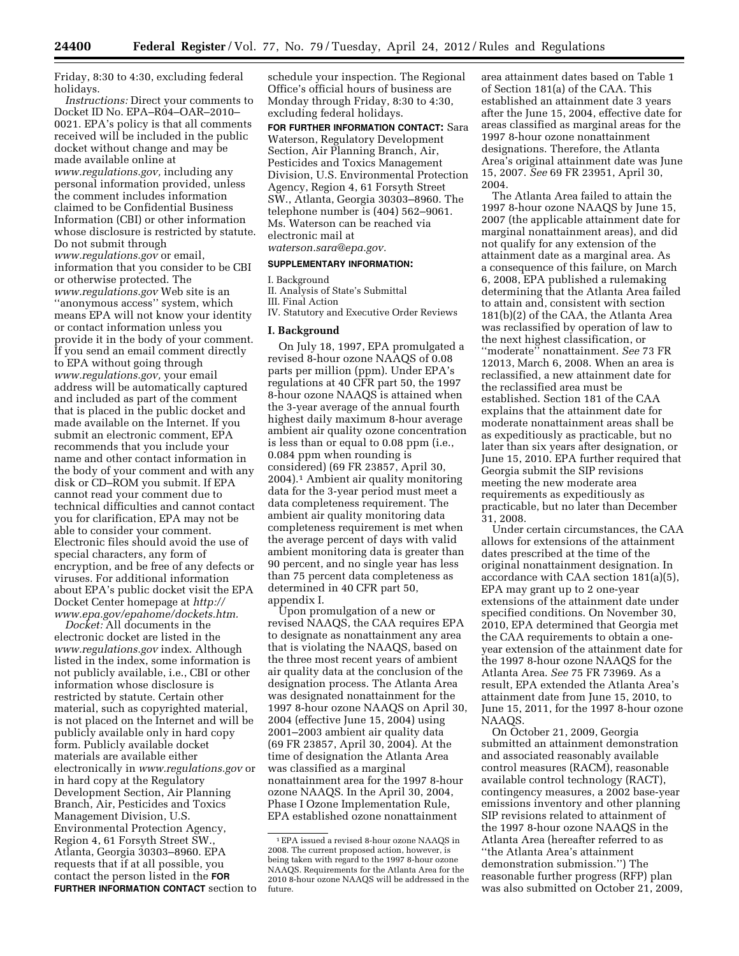Friday, 8:30 to 4:30, excluding federal holidays.

*Instructions:* Direct your comments to Docket ID No. EPA–R04–OAR–2010– 0021. EPA's policy is that all comments received will be included in the public docket without change and may be made available online at *[www.regulations.gov,](http://www.regulations.gov)* including any personal information provided, unless the comment includes information claimed to be Confidential Business Information (CBI) or other information whose disclosure is restricted by statute. Do not submit through *[www.regulations.gov](http://www.regulations.gov)* or email, information that you consider to be CBI or otherwise protected. The *[www.regulations.gov](http://www.regulations.gov)* Web site is an ''anonymous access'' system, which means EPA will not know your identity or contact information unless you provide it in the body of your comment. If you send an email comment directly to EPA without going through *[www.regulations.gov,](http://www.regulations.gov)* your email address will be automatically captured and included as part of the comment that is placed in the public docket and made available on the Internet. If you submit an electronic comment, EPA recommends that you include your name and other contact information in the body of your comment and with any disk or CD–ROM you submit. If EPA cannot read your comment due to technical difficulties and cannot contact you for clarification, EPA may not be able to consider your comment. Electronic files should avoid the use of special characters, any form of encryption, and be free of any defects or viruses. For additional information about EPA's public docket visit the EPA Docket Center homepage at *[http://](http://www.epa.gov/epahome/dockets.htm) [www.epa.gov/epahome/dockets.htm.](http://www.epa.gov/epahome/dockets.htm)* 

*Docket:* All documents in the electronic docket are listed in the *[www.regulations.gov](http://www.regulations.gov)* index. Although listed in the index, some information is not publicly available, i.e., CBI or other information whose disclosure is restricted by statute. Certain other material, such as copyrighted material, is not placed on the Internet and will be publicly available only in hard copy form. Publicly available docket materials are available either electronically in *[www.regulations.gov](http://www.regulations.gov)* or in hard copy at the Regulatory Development Section, Air Planning Branch, Air, Pesticides and Toxics Management Division, U.S. Environmental Protection Agency, Region 4, 61 Forsyth Street SW., Atlanta, Georgia 30303–8960. EPA requests that if at all possible, you contact the person listed in the **FOR FURTHER INFORMATION CONTACT** section to

schedule your inspection. The Regional Office's official hours of business are Monday through Friday, 8:30 to 4:30, excluding federal holidays.

**FOR FURTHER INFORMATION CONTACT:** Sara Waterson, Regulatory Development Section, Air Planning Branch, Air, Pesticides and Toxics Management Division, U.S. Environmental Protection Agency, Region 4, 61 Forsyth Street SW., Atlanta, Georgia 30303–8960. The telephone number is (404) 562–9061. Ms. Waterson can be reached via electronic mail at

*[waterson.sara@epa.gov.](mailto:waterson.sara@epa.gov)* 

# **SUPPLEMENTARY INFORMATION:**

#### I. Background

II. Analysis of State's Submittal III. Final Action IV. Statutory and Executive Order Reviews

## **I. Background**

On July 18, 1997, EPA promulgated a revised 8-hour ozone NAAQS of 0.08 parts per million (ppm). Under EPA's regulations at 40 CFR part 50, the 1997 8-hour ozone NAAQS is attained when the 3-year average of the annual fourth highest daily maximum 8-hour average ambient air quality ozone concentration is less than or equal to 0.08 ppm (i.e., 0.084 ppm when rounding is considered) (69 FR 23857, April 30, 2004).1 Ambient air quality monitoring data for the 3-year period must meet a data completeness requirement. The ambient air quality monitoring data completeness requirement is met when the average percent of days with valid ambient monitoring data is greater than 90 percent, and no single year has less than 75 percent data completeness as determined in 40 CFR part 50, appendix I.

Upon promulgation of a new or revised NAAQS, the CAA requires EPA to designate as nonattainment any area that is violating the NAAQS, based on the three most recent years of ambient air quality data at the conclusion of the designation process. The Atlanta Area was designated nonattainment for the 1997 8-hour ozone NAAQS on April 30, 2004 (effective June 15, 2004) using 2001–2003 ambient air quality data (69 FR 23857, April 30, 2004). At the time of designation the Atlanta Area was classified as a marginal nonattainment area for the 1997 8-hour ozone NAAQS. In the April 30, 2004, Phase I Ozone Implementation Rule, EPA established ozone nonattainment

area attainment dates based on Table 1 of Section 181(a) of the CAA. This established an attainment date 3 years after the June 15, 2004, effective date for areas classified as marginal areas for the 1997 8-hour ozone nonattainment designations. Therefore, the Atlanta Area's original attainment date was June 15, 2007. *See* 69 FR 23951, April 30, 2004.

The Atlanta Area failed to attain the 1997 8-hour ozone NAAQS by June 15, 2007 (the applicable attainment date for marginal nonattainment areas), and did not qualify for any extension of the attainment date as a marginal area. As a consequence of this failure, on March 6, 2008, EPA published a rulemaking determining that the Atlanta Area failed to attain and, consistent with section 181(b)(2) of the CAA, the Atlanta Area was reclassified by operation of law to the next highest classification, or ''moderate'' nonattainment. *See* 73 FR 12013, March 6, 2008. When an area is reclassified, a new attainment date for the reclassified area must be established. Section 181 of the CAA explains that the attainment date for moderate nonattainment areas shall be as expeditiously as practicable, but no later than six years after designation, or June 15, 2010. EPA further required that Georgia submit the SIP revisions meeting the new moderate area requirements as expeditiously as practicable, but no later than December 31, 2008.

Under certain circumstances, the CAA allows for extensions of the attainment dates prescribed at the time of the original nonattainment designation. In accordance with CAA section 181(a)(5), EPA may grant up to 2 one-year extensions of the attainment date under specified conditions. On November 30, 2010, EPA determined that Georgia met the CAA requirements to obtain a oneyear extension of the attainment date for the 1997 8-hour ozone NAAQS for the Atlanta Area. *See* 75 FR 73969. As a result, EPA extended the Atlanta Area's attainment date from June 15, 2010, to June 15, 2011, for the 1997 8-hour ozone NAAQS.

On October 21, 2009, Georgia submitted an attainment demonstration and associated reasonably available control measures (RACM), reasonable available control technology (RACT), contingency measures, a 2002 base-year emissions inventory and other planning SIP revisions related to attainment of the 1997 8-hour ozone NAAQS in the Atlanta Area (hereafter referred to as ''the Atlanta Area's attainment demonstration submission.'') The reasonable further progress (RFP) plan was also submitted on October 21, 2009,

<sup>1</sup>EPA issued a revised 8-hour ozone NAAQS in 2008. The current proposed action, however, is being taken with regard to the 1997 8-hour ozone NAAQS. Requirements for the Atlanta Area for the 2010 8-hour ozone NAAQS will be addressed in the future.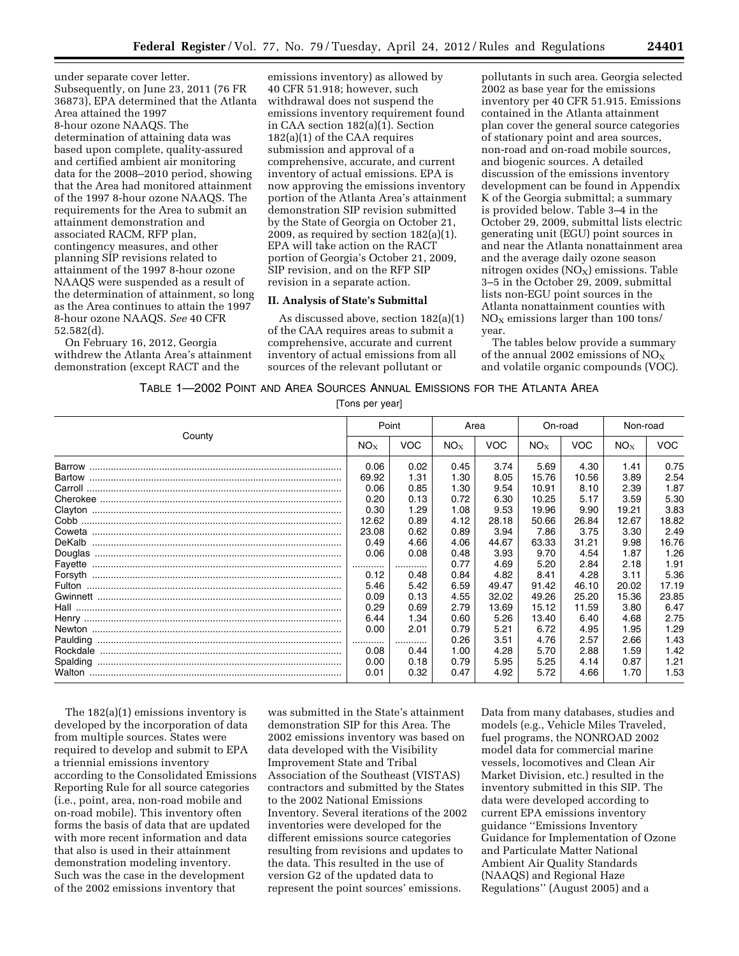under separate cover letter. Subsequently, on June 23, 2011 (76 FR 36873), EPA determined that the Atlanta Area attained the 1997 8-hour ozone NAAQS. The determination of attaining data was based upon complete, quality-assured and certified ambient air monitoring data for the 2008–2010 period, showing that the Area had monitored attainment of the 1997 8-hour ozone NAAQS. The requirements for the Area to submit an attainment demonstration and associated RACM, RFP plan, contingency measures, and other planning SIP revisions related to attainment of the 1997 8-hour ozone NAAQS were suspended as a result of the determination of attainment, so long as the Area continues to attain the 1997 8-hour ozone NAAQS. *See* 40 CFR 52.582(d).

On February 16, 2012, Georgia withdrew the Atlanta Area's attainment demonstration (except RACT and the

emissions inventory) as allowed by 40 CFR 51.918; however, such withdrawal does not suspend the emissions inventory requirement found in CAA section 182(a)(1). Section 182(a)(1) of the CAA requires submission and approval of a comprehensive, accurate, and current inventory of actual emissions. EPA is now approving the emissions inventory portion of the Atlanta Area's attainment demonstration SIP revision submitted by the State of Georgia on October 21, 2009, as required by section 182(a)(1). EPA will take action on the RACT portion of Georgia's October 21, 2009, SIP revision, and on the RFP SIP revision in a separate action.

## **II. Analysis of State's Submittal**

As discussed above, section 182(a)(1) of the CAA requires areas to submit a comprehensive, accurate and current inventory of actual emissions from all sources of the relevant pollutant or

pollutants in such area. Georgia selected 2002 as base year for the emissions inventory per 40 CFR 51.915. Emissions contained in the Atlanta attainment plan cover the general source categories of stationary point and area sources, non-road and on-road mobile sources, and biogenic sources. A detailed discussion of the emissions inventory development can be found in Appendix K of the Georgia submittal; a summary is provided below. Table 3–4 in the October 29, 2009, submittal lists electric generating unit (EGU) point sources in and near the Atlanta nonattainment area and the average daily ozone season nitrogen oxides  $(NO_X)$  emissions. Table 3–5 in the October 29, 2009, submittal lists non-EGU point sources in the Atlanta nonattainment counties with  $NO<sub>x</sub>$  emissions larger than 100 tons/ year.

The tables below provide a summary of the annual 2002 emissions of  $NO_X$ and volatile organic compounds (VOC).

#### TABLE 1—2002 POINT AND AREA SOURCES ANNUAL EMISSIONS FOR THE ATLANTA AREA

[Tons per year]

| County   |                       | Point                |                      | Area                  |                       | On-road               |                      | Non-road              |  |
|----------|-----------------------|----------------------|----------------------|-----------------------|-----------------------|-----------------------|----------------------|-----------------------|--|
|          |                       | <b>VOC</b>           | $NO_{X}$             | <b>VOC</b>            | $NO_{X}$              | <b>VOC</b>            | $NO_{X}$             | <b>VOC</b>            |  |
|          | 0.06                  | 0.02                 | 0.45                 | 3.74                  | 5.69                  | 4.30                  | 1.41                 | 0.75                  |  |
|          | 69.92                 | 1.31                 | 1.30                 | 8.05                  | 15.76                 | 10.56                 | 3.89                 | 2.54                  |  |
|          | 0.06                  | 0.85                 | 1.30                 | 9.54                  | 10.91                 | 8.10                  | 2.39                 | 1.87                  |  |
|          | 0.20                  | 0.13                 | 0.72                 | 6.30                  | 10.25                 | 5.17                  | 3.59                 | 5.30                  |  |
|          | 0.30                  | 1.29                 | 1.08                 | 9.53                  | 19.96                 | 9.90                  | 19.21                | 3.83                  |  |
|          | 12.62                 | 0.89                 | 4.12                 | 28.18                 | 50.66                 | 26.84                 | 12.67                | 18.82                 |  |
| DeKalb   | 23.08<br>0.49<br>0.06 | 0.62<br>4.66<br>0.08 | 0.89<br>4.06<br>0.48 | 3.94<br>44.67<br>3.93 | 7.86<br>63.33<br>9.70 | 3.75<br>31.21<br>4.54 | 3.30<br>9.98<br>1.87 | 2.49<br>16.76<br>1.26 |  |
| Favette  | <br>0.12              | <br>0.48             | 0.77<br>0.84         | 4.69<br>4.82          | 5.20<br>8.41          | 2.84<br>4.28          | 2.18<br>3.11         | 1.91<br>5.36          |  |
|          | 5.46                  | 5.42                 | 6.59                 | 49.47                 | 91.42                 | 46.10                 | 20.02                | 17.19                 |  |
|          | 0.09                  | 0.13                 | 4.55                 | 32.02                 | 49.26                 | 25.20                 | 15.36                | 23.85                 |  |
|          | 0.29                  | 0.69                 | 2.79                 | 13.69                 | 15.12                 | 11.59                 | 3.80                 | 6.47                  |  |
|          | 6.44                  | 1.34                 | 0.60                 | 5.26                  | 13.40                 | 6.40                  | 4.68                 | 2.75                  |  |
|          | 0.00                  | 2.01                 | 0.79                 | 5.21                  | 6.72                  | 4.95                  | 1.95                 | 1.29                  |  |
|          | .                     |                      | 0.26                 | 3.51                  | 4.76                  | 2.57                  | 2.66                 | 1.43                  |  |
| Spalding | 0.08<br>0.00<br>0.01  | 0.44<br>0.18<br>0.32 | 1.00<br>0.79<br>0.47 | 4.28<br>5.95<br>4.92  | 5.70<br>5.25<br>5.72  | 2.88<br>4.14<br>4.66  | 1.59<br>0.87<br>1.70 | 1.42<br>1.21<br>1.53  |  |

The 182(a)(1) emissions inventory is developed by the incorporation of data from multiple sources. States were required to develop and submit to EPA a triennial emissions inventory according to the Consolidated Emissions Reporting Rule for all source categories (i.e., point, area, non-road mobile and on-road mobile). This inventory often forms the basis of data that are updated with more recent information and data that also is used in their attainment demonstration modeling inventory. Such was the case in the development of the 2002 emissions inventory that

was submitted in the State's attainment demonstration SIP for this Area. The 2002 emissions inventory was based on data developed with the Visibility Improvement State and Tribal Association of the Southeast (VISTAS) contractors and submitted by the States to the 2002 National Emissions Inventory. Several iterations of the 2002 inventories were developed for the different emissions source categories resulting from revisions and updates to the data. This resulted in the use of version G2 of the updated data to represent the point sources' emissions.

Data from many databases, studies and models (e.g., Vehicle Miles Traveled, fuel programs, the NONROAD 2002 model data for commercial marine vessels, locomotives and Clean Air Market Division, etc.) resulted in the inventory submitted in this SIP. The data were developed according to current EPA emissions inventory guidance ''Emissions Inventory Guidance for Implementation of Ozone and Particulate Matter National Ambient Air Quality Standards (NAAQS) and Regional Haze Regulations'' (August 2005) and a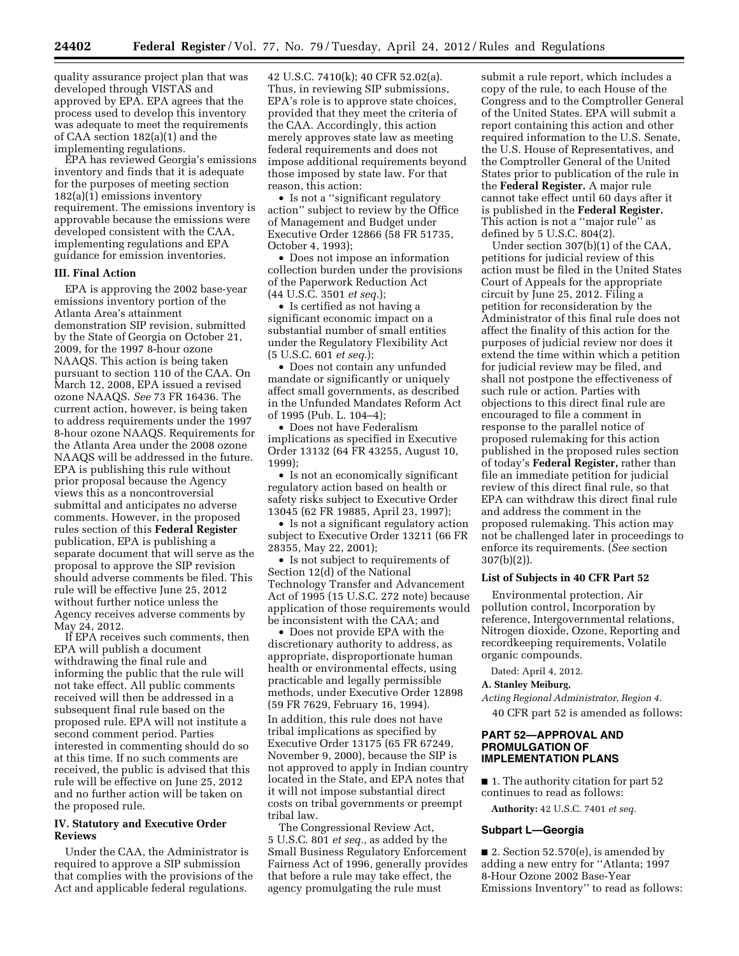quality assurance project plan that was developed through VISTAS and approved by EPA. EPA agrees that the process used to develop this inventory was adequate to meet the requirements of CAA section 182(a)(1) and the implementing regulations.

EPA has reviewed Georgia's emissions inventory and finds that it is adequate for the purposes of meeting section 182(a)(1) emissions inventory requirement. The emissions inventory is approvable because the emissions were developed consistent with the CAA, implementing regulations and EPA guidance for emission inventories.

## **III. Final Action**

EPA is approving the 2002 base-year emissions inventory portion of the Atlanta Area's attainment demonstration SIP revision, submitted by the State of Georgia on October 21, 2009, for the 1997 8-hour ozone NAAQS. This action is being taken pursuant to section 110 of the CAA. On March 12, 2008, EPA issued a revised ozone NAAQS. *See* 73 FR 16436. The current action, however, is being taken to address requirements under the 1997 8-hour ozone NAAQS. Requirements for the Atlanta Area under the 2008 ozone NAAQS will be addressed in the future. EPA is publishing this rule without prior proposal because the Agency views this as a noncontroversial submittal and anticipates no adverse comments. However, in the proposed rules section of this **Federal Register**  publication, EPA is publishing a separate document that will serve as the proposal to approve the SIP revision should adverse comments be filed. This rule will be effective June 25, 2012 without further notice unless the Agency receives adverse comments by May 24, 2012.

If EPA receives such comments, then EPA will publish a document withdrawing the final rule and informing the public that the rule will not take effect. All public comments received will then be addressed in a subsequent final rule based on the proposed rule. EPA will not institute a second comment period. Parties interested in commenting should do so at this time. If no such comments are received, the public is advised that this rule will be effective on June 25, 2012 and no further action will be taken on the proposed rule.

# **IV. Statutory and Executive Order Reviews**

Under the CAA, the Administrator is required to approve a SIP submission that complies with the provisions of the Act and applicable federal regulations.

42 U.S.C. 7410(k); 40 CFR 52.02(a). Thus, in reviewing SIP submissions, EPA's role is to approve state choices, provided that they meet the criteria of the CAA. Accordingly, this action merely approves state law as meeting federal requirements and does not impose additional requirements beyond those imposed by state law. For that reason, this action:

• Is not a ''significant regulatory action'' subject to review by the Office of Management and Budget under Executive Order 12866 (58 FR 51735, October 4, 1993);

• Does not impose an information collection burden under the provisions of the Paperwork Reduction Act (44 U.S.C. 3501 *et seq.*);

• Is certified as not having a significant economic impact on a substantial number of small entities under the Regulatory Flexibility Act (5 U.S.C. 601 *et seq.*);

• Does not contain any unfunded mandate or significantly or uniquely affect small governments, as described in the Unfunded Mandates Reform Act of 1995 (Pub. L. 104–4);

• Does not have Federalism implications as specified in Executive Order 13132 (64 FR 43255, August 10, 1999);

• Is not an economically significant regulatory action based on health or safety risks subject to Executive Order 13045 (62 FR 19885, April 23, 1997);

• Is not a significant regulatory action subject to Executive Order 13211 (66 FR 28355, May 22, 2001);

• Is not subject to requirements of Section 12(d) of the National Technology Transfer and Advancement Act of 1995 (15 U.S.C. 272 note) because application of those requirements would be inconsistent with the CAA; and

• Does not provide EPA with the discretionary authority to address, as appropriate, disproportionate human health or environmental effects, using practicable and legally permissible methods, under Executive Order 12898 (59 FR 7629, February 16, 1994). In addition, this rule does not have tribal implications as specified by Executive Order 13175 (65 FR 67249, November 9, 2000), because the SIP is not approved to apply in Indian country located in the State, and EPA notes that it will not impose substantial direct costs on tribal governments or preempt tribal law.

The Congressional Review Act, 5 U.S.C. 801 *et seq.,* as added by the Small Business Regulatory Enforcement Fairness Act of 1996, generally provides that before a rule may take effect, the agency promulgating the rule must

submit a rule report, which includes a copy of the rule, to each House of the Congress and to the Comptroller General of the United States. EPA will submit a report containing this action and other required information to the U.S. Senate, the U.S. House of Representatives, and the Comptroller General of the United States prior to publication of the rule in the **Federal Register.** A major rule cannot take effect until 60 days after it is published in the **Federal Register.**  This action is not a ''major rule'' as defined by 5 U.S.C. 804(2).

Under section 307(b)(1) of the CAA, petitions for judicial review of this action must be filed in the United States Court of Appeals for the appropriate circuit by June 25, 2012. Filing a petition for reconsideration by the Administrator of this final rule does not affect the finality of this action for the purposes of judicial review nor does it extend the time within which a petition for judicial review may be filed, and shall not postpone the effectiveness of such rule or action. Parties with objections to this direct final rule are encouraged to file a comment in response to the parallel notice of proposed rulemaking for this action published in the proposed rules section of today's **Federal Register,** rather than file an immediate petition for judicial review of this direct final rule, so that EPA can withdraw this direct final rule and address the comment in the proposed rulemaking. This action may not be challenged later in proceedings to enforce its requirements. (*See* section 307(b)(2)).

# **List of Subjects in 40 CFR Part 52**

Environmental protection, Air pollution control, Incorporation by reference, Intergovernmental relations, Nitrogen dioxide, Ozone, Reporting and recordkeeping requirements, Volatile organic compounds.

Dated: April 4, 2012.

#### **A. Stanley Meiburg,**

*Acting Regional Administrator, Region 4.*  40 CFR part 52 is amended as follows:

# **PART 52—APPROVAL AND PROMULGATION OF IMPLEMENTATION PLANS**

■ 1. The authority citation for part 52 continues to read as follows:

**Authority:** 42 U.S.C. 7401 *et seq.* 

#### **Subpart L—Georgia**

 $\blacksquare$  2. Section 52.570(e), is amended by adding a new entry for ''Atlanta; 1997 8-Hour Ozone 2002 Base-Year Emissions Inventory'' to read as follows: